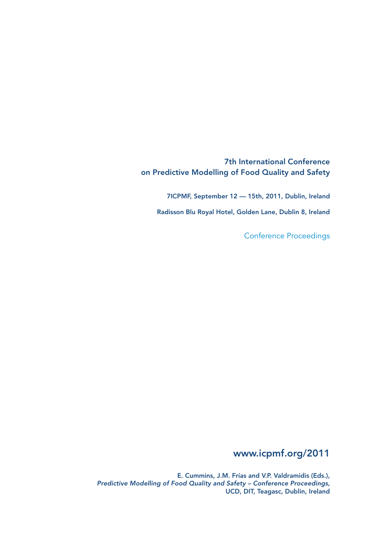7th International Conference on Predictive Modelling of Food Quality and Safety

7ICPMF, September 12 — 15th, 2011, Dublin, Ireland

Radisson Blu Royal Hotel, Golden Lane, Dublin 8, Ireland

Conference Proceedings

# www.icpmf.org/2011

E. Cummins, J.M. Frías and V.P. Valdramidis (Eds.), Predictive Modelling of Food Quality and Safety – Conference Proceedings, UCD, DIT, Teagasc, Dublin, Ireland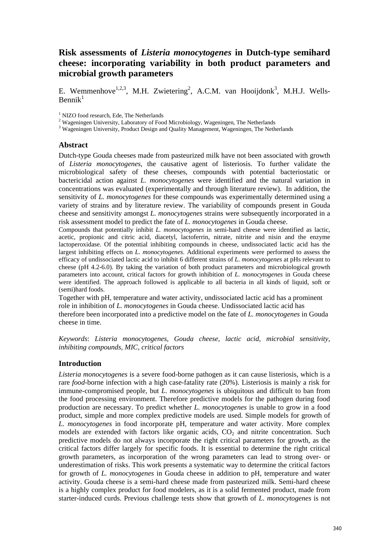# **Risk assessments of** *Listeria monocytogenes* **in Dutch-type semihard cheese: incorporating variability in both product parameters and microbial growth parameters**

E. Wemmenhove<sup>1,2,3</sup>, M.H. Zwietering<sup>2</sup>, A.C.M. van Hooijdonk<sup>3</sup>, M.H.J. Wells- $Bennik<sup>1</sup>$ 

<sup>1</sup> NIZO food research, Ede, The Netherlands

<sup>2</sup> Wageningen University, Laboratory of Food Microbiology, Wageningen, The Netherlands  $\frac{3}{3}$  Wageningen University, Product Design and Quality Management, Wageningen, The Neth

<sup>3</sup> Wageningen University, Product Design and Quality Management, Wageningen, The Netherlands

#### **Abstract**

Dutch-type Gouda cheeses made from pasteurized milk have not been associated with growth of *Listeria monocytogenes*, the causative agent of listeriosis. To further validate the microbiological safety of these cheeses, compounds with potential bacteriostatic or bactericidal action against *L. monocytogenes* were identified and the natural variation in concentrations was evaluated (experimentally and through literature review). In addition, the sensitivity of *L. monocytogenes* for these compounds was experimentally determined using a variety of strains and by literature review. The variability of compounds present in Gouda cheese and sensitivity amongst *L. monocytogenes* strains were subsequently incorporated in a risk assessment model to predict the fate of *L. monocytogenes* in Gouda cheese.

Compounds that potentially inhibit *L. monocytogenes* in semi-hard cheese were identified as lactic, acetic, propionic and citric acid, diacetyl, lactoferrin, nitrate, nitrite and nisin and the enzyme lactoperoxidase. Of the potential inhibiting compounds in cheese, undissociated lactic acid has the largest inhibiting effects on *L. monocytogenes*. Additional experiments were performed to assess the efficacy of undissociated lactic acid to inhibit 6 different strains of *L. monocytogenes* at pHs relevant to cheese (pH 4.2-6.0). By taking the variation of both product parameters and microbiological growth parameters into account, critical factors for growth inhibition of *L. monocytogenes* in Gouda cheese were identified. The approach followed is applicable to all bacteria in all kinds of liquid, soft or (semi)hard foods.

Together with pH, temperature and water activity, undissociated lactic acid has a prominent role in inhibition of *L. monocytogenes* in Gouda cheese. Undissociated lactic acid has therefore been incorporated into a predictive model on the fate of *L. monocytogenes* in Gouda cheese in time.

*Keywords*: *Listeria monocytogenes, Gouda cheese, lactic acid, microbial sensitivity, inhibiting compounds, MIC, critical factors*

#### **Introduction**

*Listeria monocytogenes* is a severe food-borne pathogen as it can cause listeriosis, which is a rare *food*-borne infection with a high case-fatality rate (20%). Listeriosis is mainly a risk for immune-compromised people, but *L. monocytogenes* is ubiquitous and difficult to ban from the food processing environment. Therefore predictive models for the pathogen during food production are necessary. To predict whether *L. monocytogenes* is unable to grow in a food product, simple and more complex predictive models are used. Simple models for growth of *L. monocytogenes* in food incorporate pH, temperature and water activity. More complex models are extended with factors like organic acids,  $CO<sub>2</sub>$  and nitrite concentration. Such predictive models do not always incorporate the right critical parameters for growth, as the critical factors differ largely for specific foods. It is essential to determine the right critical growth parameters, as incorporation of the wrong parameters can lead to strong over- or underestimation of risks. This work presents a systematic way to determine the critical factors for growth of *L. monocytogenes* in Gouda cheese in addition to pH, temperature and water activity. Gouda cheese is a semi-hard cheese made from pasteurized milk. Semi-hard cheese is a highly complex product for food modelers, as it is a solid fermented product, made from starter-induced curds. Previous challenge tests show that growth of *L. monocytogenes* is not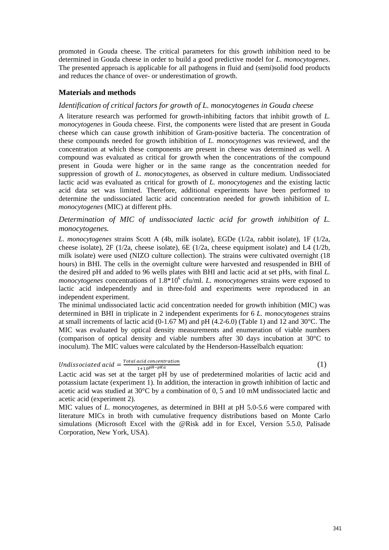promoted in Gouda cheese. The critical parameters for this growth inhibition need to be determined in Gouda cheese in order to build a good predictive model for *L. monocytogenes*. The presented approach is applicable for all pathogens in fluid and (semi)solid food products and reduces the chance of over- or underestimation of growth.

## **Materials and methods**

### *Identification of critical factors for growth of L. monocytogenes in Gouda cheese*

A literature research was performed for growth-inhibiting factors that inhibit growth of *L. monocytogenes* in Gouda cheese. First, the components were listed that are present in Gouda cheese which can cause growth inhibition of Gram-positive bacteria. The concentration of these compounds needed for growth inhibition of *L. monocytogenes* was reviewed, and the concentration at which these components are present in cheese was determined as well. A compound was evaluated as critical for growth when the concentrations of the compound present in Gouda were higher or in the same range as the concentration needed for suppression of growth of *L. monocytogenes*, as observed in culture medium. Undissociated lactic acid was evaluated as critical for growth of *L. monocytogenes* and the existing lactic acid data set was limited. Therefore, additional experiments have been performed to determine the undissociated lactic acid concentration needed for growth inhibition of *L. monocytogenes* (MIC) at different pHs.

### *Determination of MIC of undissociated lactic acid for growth inhibition of L. monocytogenes.*

*L. monocytogenes* strains Scott A (4b, milk isolate), EGDe (1/2a, rabbit isolate), 1F (1/2a, cheese isolate), 2F (1/2a, cheese isolate), 6E (1/2a, cheese equipment isolate) and L4 (1/2b, milk isolate) were used (NIZO culture collection). The strains were cultivated overnight (18 hours) in BHI. The cells in the overnight culture were harvested and resuspended in BHI of the desired pH and added to 96 wells plates with BHI and lactic acid at set pHs, with final *L.*  monocytogenes concentrations of  $1.8*10^6$  cfu/ml. *L. monocytogenes* strains were exposed to lactic acid independently and in three-fold and experiments were reproduced in an independent experiment.

The minimal undissociated lactic acid concentration needed for growth inhibition (MIC) was determined in BHI in triplicate in 2 independent experiments for 6 *L. monocytogenes* strains at small increments of lactic acid  $(0-1.67 \text{ M})$  and pH  $(4.2-6.0)$  (Table 1) and 12 and 30°C. The MIC was evaluated by optical density measurements and enumeration of viable numbers (comparison of optical density and viable numbers after 30 days incubation at 30°C to inoculum). The MIC values were calculated by the Henderson-Hasselbalch equation:

# Undissociated acid  $=\frac{Total\ acid\ concentration}{1+10p^H-pKa}$  (1)

Lactic acid was set at the target pH by use of predetermined molarities of lactic acid and potassium lactate (experiment 1). In addition, the interaction in growth inhibition of lactic and acetic acid was studied at 30°C by a combination of 0, 5 and 10 mM undissociated lactic and acetic acid (experiment 2).

MIC values of *L. monocytogenes*, as determined in BHI at pH 5.0-5.6 were compared with literature MICs in broth with cumulative frequency distributions based on Monte Carlo simulations (Microsoft Excel with the @Risk add in for Excel, Version 5.5.0, Palisade Corporation, New York, USA).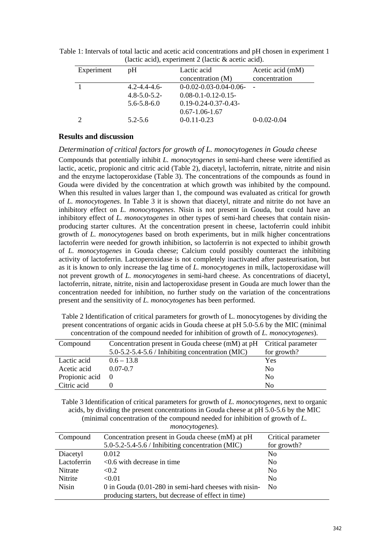| $\mu$ and $\mu$ , $\mu$ is continuous $\mu$ and $\mu$ and $\mu$ and $\mu$ . |                     |                               |                  |  |
|-----------------------------------------------------------------------------|---------------------|-------------------------------|------------------|--|
| Experiment                                                                  | pH                  | Lactic acid                   | Acetic acid (mM) |  |
|                                                                             |                     | concentration (M)             | concentration    |  |
|                                                                             | $4.2 - 4.4 - 4.6$   | $0-0.02-0.03-0.04-0.06-$      |                  |  |
|                                                                             | $4.8 - 5.0 - 5.2 -$ | $0.08 - 0.1 - 0.12 - 0.15$    |                  |  |
|                                                                             | $5.6 - 5.8 - 6.0$   | $0.19 - 0.24 - 0.37 - 0.43 -$ |                  |  |
|                                                                             |                     | $0.67 - 1.06 - 1.67$          |                  |  |
|                                                                             | $5.2 - 5.6$         | $0-0.11-0.23$                 | $0-0.02-0.04$    |  |

Table 1: Intervals of total lactic and acetic acid concentrations and pH chosen in experiment 1 (lactic acid), experiment 2 (lactic & acetic acid).

### **Results and discussion**

#### *Determination of critical factors for growth of L. monocytogenes in Gouda cheese*

Compounds that potentially inhibit *L. monocytogenes* in semi-hard cheese were identified as lactic, acetic, propionic and citric acid (Table 2), diacetyl, lactoferrin, nitrate, nitrite and nisin and the enzyme lactoperoxidase (Table 3). The concentrations of the compounds as found in Gouda were divided by the concentration at which growth was inhibited by the compound. When this resulted in values larger than 1, the compound was evaluated as critical for growth of *L. monocytogenes*. In Table 3 it is shown that diacetyl, nitrate and nitrite do not have an inhibitory effect on *L. monocytogenes*. Nisin is not present in Gouda, but could have an inhibitory effect of *L. monocytogenes* in other types of semi-hard cheeses that contain nisinproducing starter cultures. At the concentration present in cheese, lactoferrin could inhibit growth of *L. monocytogenes* based on broth experiments, but in milk higher concentrations lactoferrin were needed for growth inhibition, so lactoferrin is not expected to inhibit growth of *L. monocytogenes* in Gouda cheese; Calcium could possibly counteract the inhibiting activity of lactoferrin. Lactoperoxidase is not completely inactivated after pasteurisation, but as it is known to only increase the lag time of *L. monocytogenes* in milk, lactoperoxidase will not prevent growth of *L. monocytogenes* in semi-hard cheese. As concentrations of diacetyl, lactoferrin, nitrate, nitrite, nisin and lactoperoxidase present in Gouda are much lower than the concentration needed for inhibition, no further study on the variation of the concentrations present and the sensitivity of *L. monocytogenes* has been performed.

Table 2 Identification of critical parameters for growth of L. monocytogenes by dividing the present concentrations of organic acids in Gouda cheese at pH 5.0-5.6 by the MIC (minimal concentration of the compound needed for inhibition of growth of *L. monocytogenes*).

| Compound       | Concentration present in Gouda cheese (mM) at pH Critical parameter |                |
|----------------|---------------------------------------------------------------------|----------------|
|                | $5.0 - 5.2 - 5.4 - 5.6$ / Inhibiting concentration (MIC)            | for growth?    |
| Lactic acid    | $0.6 - 13.8$                                                        | Yes            |
| Acetic acid    | $0.07 - 0.7$                                                        | N <sub>0</sub> |
| Propionic acid |                                                                     | N <sub>0</sub> |
| Citric acid    |                                                                     | No             |

Table 3 Identification of critical parameters for growth of *L. monocytogenes*, next to organic acids, by dividing the present concentrations in Gouda cheese at pH 5.0-5.6 by the MIC (minimal concentration of the compound needed for inhibition of growth of *L.* 

| Compound       | Concentration present in Gouda cheese (mM) at pH           | Critical parameter |
|----------------|------------------------------------------------------------|--------------------|
|                | $5.0 - 5.2 - 5.4 - 5.6$ / Inhibiting concentration (MIC)   | for growth?        |
| Diacetyl       | 0.012                                                      | N <sub>0</sub>     |
| Lactoferrin    | $\leq 0.6$ with decrease in time                           | N <sub>0</sub>     |
| <b>Nitrate</b> | < 0.2                                                      | N <sub>0</sub>     |
| <b>Nitrite</b> | < 0.01                                                     | N <sub>0</sub>     |
| <b>Nisin</b>   | $0$ in Gouda $(0.01-280)$ in semi-hard cheeses with nisin- | N <sub>0</sub>     |
|                | producing starters, but decrease of effect in time)        |                    |